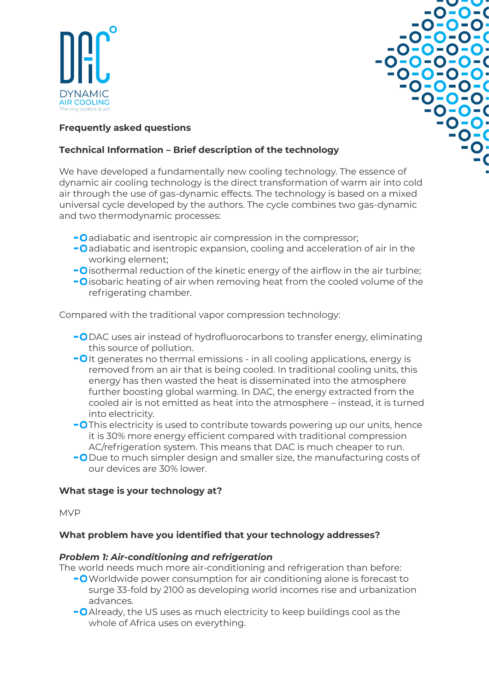



## **Frequently asked questions**

## **Technical Information – Brief description of the technology**

We have developed a fundamentally new cooling technology. The essence of dynamic air cooling technology is the direct transformation of warm air into cold air through the use of gas-dynamic effects. The technology is based on a mixed universal cycle developed by the authors. The cycle combines two gas-dynamic and two thermodynamic processes:

- **-O** adiabatic and isentropic air compression in the compressor;
- **-O** adiabatic and isentropic expansion, cooling and acceleration of air in the working element;
- $\overline{\phantom{a}}$  o isothermal reduction of the kinetic energy of the airflow in the air turbine;
- **-O** isobaric heating of air when removing heat from the cooled volume of the refrigerating chamber.

Compared with the traditional vapor compression technology:

- **-O** DAC uses air instead of hydrofluorocarbons to transfer energy, eliminating this source of pollution.
- **-O**It generates no thermal emissions in all cooling applications, energy is removed from an air that is being cooled. In traditional cooling units, this energy has then wasted the heat is disseminated into the atmosphere further boosting global warming. In DAC, the energy extracted from the cooled air is not emitted as heat into the atmosphere – instead, it is turned into electricity.
- **-O** This electricity is used to contribute towards powering up our units, hence it is 30% more energy efficient compared with traditional compression AC/refrigeration system. This means that DAC is much cheaper to run.
- **-O** Due to much simpler design and smaller size, the manufacturing costs of our devices are 30% lower.

### **What stage is your technology at?**

MVP

### **What problem have you identified that your technology addresses?**

### *Problem 1: Air-conditioning and refrigeration*

The world needs much more air-conditioning and refrigeration than before:

- **-O** Worldwide power consumption for air conditioning alone is forecast to surge 33-fold by 2100 as developing world incomes rise and urbanization advances.
- **-O** Already, the US uses as much electricity to keep buildings cool as the whole of Africa uses on everything.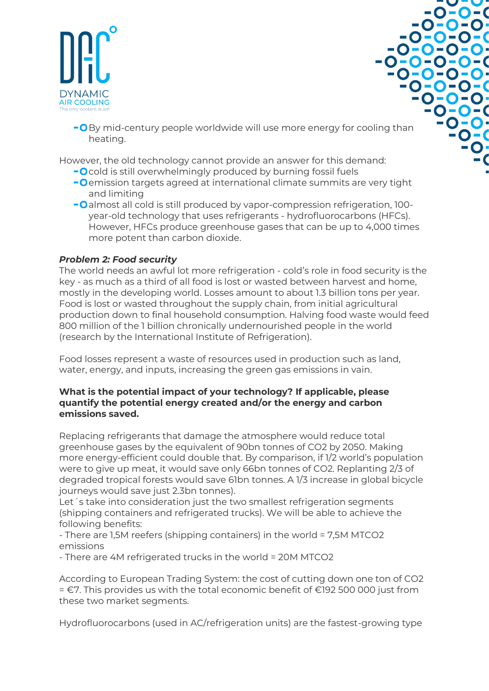

- -v-v  $-0-0-0$  $-0 - 0 - 0$  $-0 - 0 - 0 - 0$  $-0 - 0 - 0 - 0$  $-0-0-0-0-0$  $-0 - 0 - 0 - 0$  $-0 - 0 - 0 - 0$  $-0 - 0 - 0$  $-0 - 0 - 0$ -0-0- $-0-0$ -0
- **-O** By mid-century people worldwide will use more energy for cooling than heating.

However, the old technology cannot provide an answer for this demand:

- **-O** cold is still overwhelmingly produced by burning fossil fuels
- **-O** emission targets agreed at international climate summits are very tight and limiting
- **-O** almost all cold is still produced by vapor-compression refrigeration, 100year-old technology that uses refrigerants - hydrofluorocarbons (HFCs). However, HFCs produce greenhouse gases that can be up to 4,000 times more potent than carbon dioxide.

# *Problem 2: Food security*

The world needs an awful lot more refrigeration - cold's role in food security is the key - as much as a third of all food is lost or wasted between harvest and home, mostly in the developing world. Losses amount to about 1.3 billion tons per year. Food is lost or wasted throughout the supply chain, from initial agricultural production down to final household consumption. Halving food waste would feed 800 million of the 1 billion chronically undernourished people in the world (research by the International Institute of Refrigeration).

Food losses represent a waste of resources used in production such as land, water, energy, and inputs, increasing the green gas emissions in vain.

### **What is the potential impact of your technology? If applicable, please quantify the potential energy created and/or the energy and carbon emissions saved.**

Replacing refrigerants that damage the atmosphere would reduce total greenhouse gases by the equivalent of 90bn tonnes of CO2 by 2050. Making more energy-efficient could double that. By comparison, if 1/2 world's population were to give up meat, it would save only 66bn tonnes of CO2. Replanting 2/3 of degraded tropical forests would save 61bn tonnes. A 1/3 increase in global bicycle journeys would save just 2.3bn tonnes).

Let´s take into consideration just the two smallest refrigeration segments (shipping containers and refrigerated trucks). We will be able to achieve the following benefits:

- There are 1,5M reefers (shipping containers) in the world = 7,5M MTCO2 emissions

- There are 4M refrigerated trucks in the world = 20M MTCO2

According to European Trading System: the cost of cutting down one ton of CO2 = €7. This provides us with the total economic benefit of €192 500 000 just from these two market segments.

Hydrofluorocarbons (used in AC/refrigeration units) are the fastest-growing type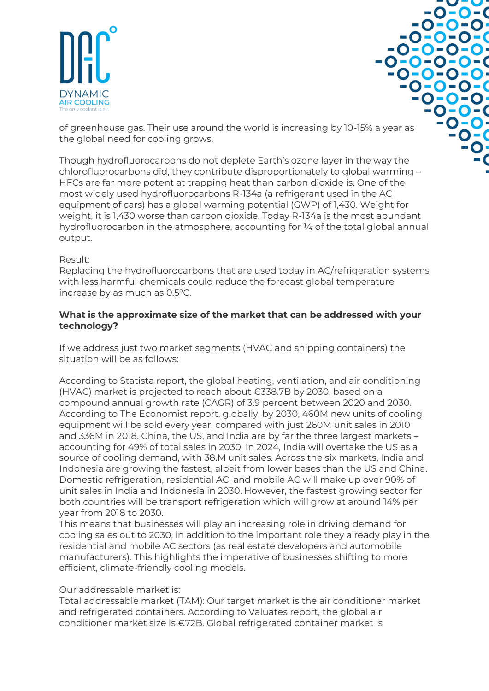



of greenhouse gas. Their use around the world is increasing by 10-15% a year as the global need for cooling grows.

Though hydrofluorocarbons do not deplete Earth's ozone layer in the way the chlorofluorocarbons did, they contribute disproportionately to global warming – HFCs are far more potent at trapping heat than carbon dioxide is. One of the most widely used hydrofluorocarbons R-134a (a refrigerant used in the AC equipment of cars) has a global warming potential (GWP) of 1,430. Weight for weight, it is 1,430 worse than carbon dioxide. Today R-134a is the most abundant hydrofluorocarbon in the atmosphere, accounting for ¼ of the total global annual output.

### Result:

Replacing the hydrofluorocarbons that are used today in AC/refrigeration systems with less harmful chemicals could reduce the forecast global temperature increase by as much as 0.5°C.

### **What is the approximate size of the market that can be addressed with your technology?**

If we address just two market segments (HVAC and shipping containers) the situation will be as follows:

According to Statista report, the global heating, ventilation, and air conditioning (HVAC) market is projected to reach about €338.7B by 2030, based on a compound annual growth rate (CAGR) of 3.9 percent between 2020 and 2030. According to The Economist report, globally, by 2030, 460M new units of cooling equipment will be sold every year, compared with just 260M unit sales in 2010 and 336M in 2018. China, the US, and India are by far the three largest markets – accounting for 49% of total sales in 2030. In 2024, India will overtake the US as a source of cooling demand, with 38.M unit sales. Across the six markets, India and Indonesia are growing the fastest, albeit from lower bases than the US and China. Domestic refrigeration, residential AC, and mobile AC will make up over 90% of unit sales in India and Indonesia in 2030. However, the fastest growing sector for both countries will be transport refrigeration which will grow at around 14% per year from 2018 to 2030.

This means that businesses will play an increasing role in driving demand for cooling sales out to 2030, in addition to the important role they already play in the residential and mobile AC sectors (as real estate developers and automobile manufacturers). This highlights the imperative of businesses shifting to more efficient, climate-friendly cooling models.

#### Our addressable market is:

Total addressable market (TAM): Our target market is the air conditioner market and refrigerated containers. According to Valuates report, the global air conditioner market size is €72B. Global refrigerated container market is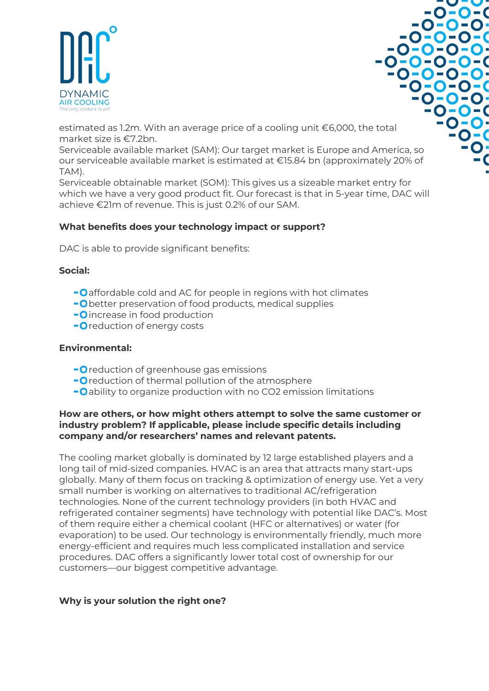



estimated as 1.2m. With an average price of a cooling unit €6,000, the total market size is €7.2bn.

Serviceable available market (SAM): Our target market is Europe and America, so our serviceable available market is estimated at €15.84 bn (approximately 20% of TAM).

Serviceable obtainable market (SOM): This gives us a sizeable market entry for which we have a very good product fit. Our forecast is that in 5-year time, DAC will achieve €21m of revenue. This is just 0.2% of our SAM.

# **What benefits does your technology impact or support?**

DAC is able to provide significant benefits:

### **Social:**

- **-O** affordable cold and AC for people in regions with hot climates
- **-O** better preservation of food products, medical supplies
- **-O** increase in food production
- **O** reduction of energy costs

#### **Environmental:**

- **-O** reduction of greenhouse gas emissions
- **-O** reduction of thermal pollution of the atmosphere
- **-O** ability to organize production with no CO2 emission limitations

### **How are others, or how might others attempt to solve the same customer or industry problem? If applicable, please include specific details including company and/or researchers' names and relevant patents.**

The cooling market globally is dominated by 12 large established players and a long tail of mid-sized companies. HVAC is an area that attracts many start-ups globally. Many of them focus on tracking & optimization of energy use. Yet a very small number is working on alternatives to traditional AC/refrigeration technologies. None of the current technology providers (in both HVAC and refrigerated container segments) have technology with potential like DAC's. Most of them require either a chemical coolant (HFC or alternatives) or water (for evaporation) to be used. Our technology is environmentally friendly, much more energy-efficient and requires much less complicated installation and service procedures. DAC offers a significantly lower total cost of ownership for our customers—our biggest competitive advantage.

### **Why is your solution the right one?**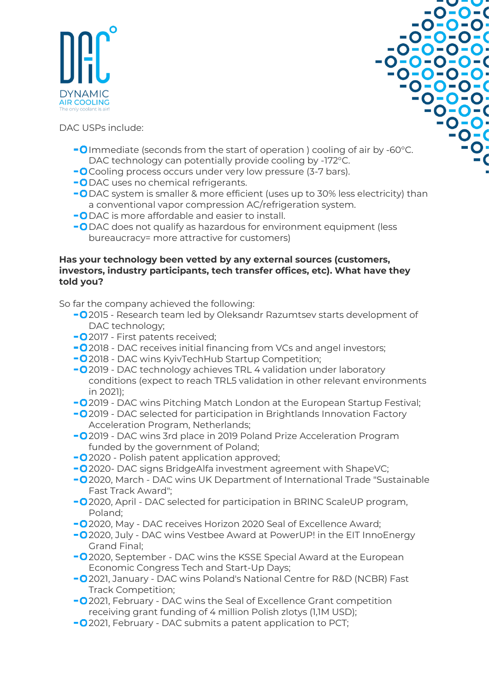

-v-v  $-0 - 0 - 0$  $-0 - 0 - 0$  $-0 - 0 - 0 - 0$  $-0-0-0-0 -0-0-0-0-0$  $-0 - 0 - 0 - 0$ -0-0-0-0  $-0 - 0 - 0$  $-0 - 0 - 0$  $-0 - 0$  $-0-0$ -0-

DAC USPs include:

- **-O** Immediate (seconds from the start of operation) cooling of air by -60°C. DAC technology can potentially provide cooling by -172°C.
- **-O** Cooling process occurs under very low pressure (3-7 bars).
- **-O** DAC uses no chemical refrigerants.
- -ODAC system is smaller & more efficient (uses up to 30% less electricity) than a conventional vapor compression AC/refrigeration system.
- **-O** DAC is more affordable and easier to install.
- **-O** DAC does not qualify as hazardous for environment equipment (less bureaucracy= more attractive for customers)

### **Has your technology been vetted by any external sources (customers, investors, industry participants, tech transfer offices, etc). What have they told you?**

So far the company achieved the following:

- 2015 Research team led by Oleksandr Razumtsev starts development of DAC technology;
- **-O** 2017 First patents received;
- **-O** 2018 DAC receives initial financing from VCs and angel investors;
- **O** 2018 DAC wins KyivTechHub Startup Competition:
- 2019 DAC technology achieves TRL 4 validation under laboratory conditions (expect to reach TRL5 validation in other relevant environments in 2021);
- 2019 DAC wins Pitching Match London at the European Startup Festival;
- 2019 DAC selected for participation in Brightlands Innovation Factory Acceleration Program, Netherlands;
- 2019 DAC wins 3rd place in 2019 Poland Prize Acceleration Program funded by the government of Poland;
- **-O** 2020 Polish patent application approved;
- 2020- DAC signs BridgeAlfa investment agreement with ShapeVC;
- 2020, March DAC wins UK Department of International Trade "Sustainable Fast Track Award";
- 2020, April DAC selected for participation in BRINC ScaleUP program, Poland;
- 2020, May DAC receives Horizon 2020 Seal of Excellence Award;
- 2020, July DAC wins Vestbee Award at PowerUP! in the EIT InnoEnergy Grand Final;
- **-O** 2020, September DAC wins the KSSE Special Award at the European Economic Congress Tech and Start-Up Days;
- 2021, January DAC wins Poland's National Centre for R&D (NCBR) Fast Track Competition;
- 2021, February DAC wins the Seal of Excellence Grant competition receiving grant funding of 4 million Polish zlotys (1,1M USD);
- 2021, February DAC submits a patent application to PCT;